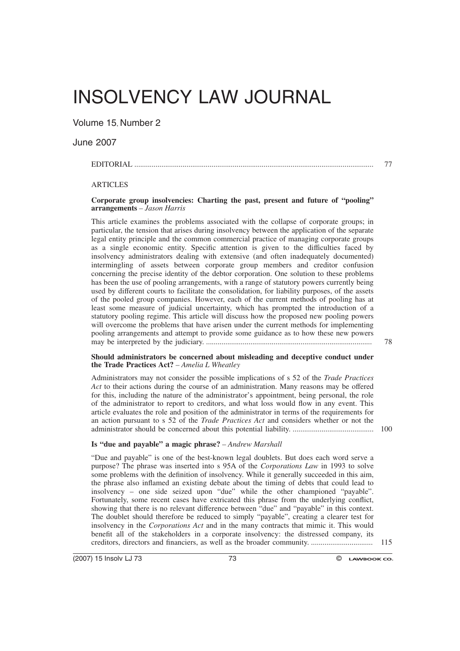# INSOLVENCY LAW JOURNAL

Volume 15, Number 2

## June 2007

## EDITORIAL ............................................................................................................................ 77

### **ARTICLES**

### **Corporate group insolvencies: Charting the past, present and future of "pooling" arrangements** *– Jason Harris*

This article examines the problems associated with the collapse of corporate groups; in particular, the tension that arises during insolvency between the application of the separate legal entity principle and the common commercial practice of managing corporate groups as a single economic entity. Specific attention is given to the difficulties faced by insolvency administrators dealing with extensive (and often inadequately documented) intermingling of assets between corporate group members and creditor confusion concerning the precise identity of the debtor corporation. One solution to these problems has been the use of pooling arrangements, with a range of statutory powers currently being used by different courts to facilitate the consolidation, for liability purposes, of the assets of the pooled group companies. However, each of the current methods of pooling has at least some measure of judicial uncertainty, which has prompted the introduction of a statutory pooling regime. This article will discuss how the proposed new pooling powers will overcome the problems that have arisen under the current methods for implementing pooling arrangements and attempt to provide some guidance as to how these new powers may be interpreted by the judiciary. ...................................................................................... 78

#### **Should administrators be concerned about misleading and deceptive conduct under the Trade Practices Act?** *– Amelia L Wheatley*

Administrators may not consider the possible implications of s 52 of the *Trade Practices Act* to their actions during the course of an administration. Many reasons may be offered for this, including the nature of the administrator's appointment, being personal, the role of the administrator to report to creditors, and what loss would flow in any event. This article evaluates the role and position of the administrator in terms of the requirements for an action pursuant to s 52 of the *Trade Practices Act* and considers whether or not the administrator should be concerned about this potential liability. .......................................... 100

### **Is "due and payable" a magic phrase?** *– Andrew Marshall*

"Due and payable" is one of the best-known legal doublets. But does each word serve a purpose? The phrase was inserted into s 95A of the *Corporations Law* in 1993 to solve some problems with the definition of insolvency. While it generally succeeded in this aim, the phrase also inflamed an existing debate about the timing of debts that could lead to insolvency – one side seized upon "due" while the other championed "payable". Fortunately, some recent cases have extricated this phrase from the underlying conflict, showing that there is no relevant difference between "due" and "payable" in this context. The doublet should therefore be reduced to simply "payable", creating a clearer test for insolvency in the *Corporations Act* and in the many contracts that mimic it. This would benefit all of the stakeholders in a corporate insolvency: the distressed company, its creditors, directors and financiers, as well as the broader community. ................................ 115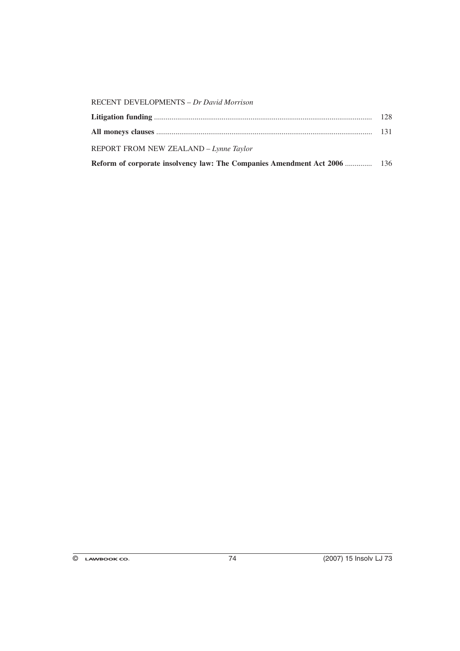| REPORT FROM NEW ZEALAND - Lynne Taylor  |     |
|-----------------------------------------|-----|
|                                         |     |
|                                         | 128 |
| RECENT DEVELOPMENTS - Dr David Morrison |     |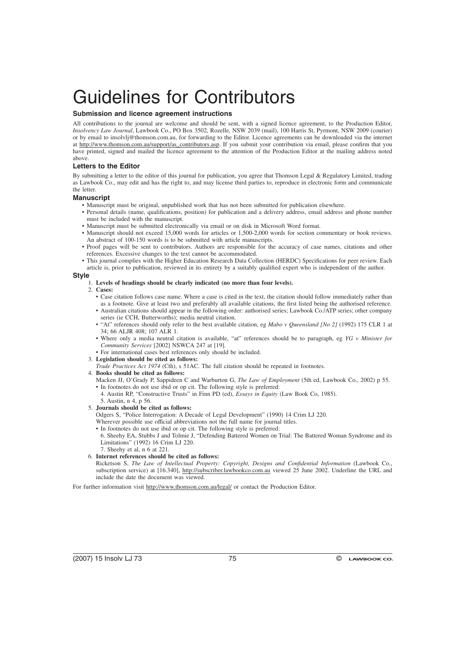# Guidelines for Contributors

#### **Submission and licence agreement instructions**

All contributions to the journal are welcome and should be sent, with a signed licence agreement, to the Production Editor, *Insolvency Law Journal*, Lawbook Co., PO Box 3502, Rozelle, NSW 2039 (mail), 100 Harris St, Pyrmont, NSW 2009 (courier) or by email to insolvlj@thomson.com.au, for forwarding to the Editor. Licence agreements can be downloaded via the internet at http://www.thomson.com.au/support/as\_contributors.asp. If you submit your contribution via email, please confirm that you have printed, signed and mailed the licence agreement to the attention of the Production Editor at the mailing address noted above.

#### **Letters to the Editor**

By submitting a letter to the editor of this journal for publication, you agree that Thomson Legal & Regulatory Limited, trading as Lawbook Co., may edit and has the right to, and may license third parties to, reproduce in electronic form and communicate the letter.

#### **Manuscript**

- Manuscript must be original, unpublished work that has not been submitted for publication elsewhere.
- Personal details (name, qualifications, position) for publication and a delivery address, email address and phone number must be included with the manuscript.
- Manuscript must be submitted electronically via email or on disk in Microsoft Word format.
- Manuscript should not exceed 15,000 words for articles or 1,500-2,000 words for section commentary or book reviews. An abstract of 100-150 words is to be submitted with article manuscripts.
- Proof pages will be sent to contributors. Authors are responsible for the accuracy of case names, citations and other references. Excessive changes to the text cannot be accommodated.
- This journal complies with the Higher Education Research Data Collection (HERDC) Specifications for peer review. Each article is, prior to publication, reviewed in its entirety by a suitably qualified expert who is independent of the author.

#### **Style**

- 1. **Levels of headings should be clearly indicated (no more than four levels).**
- 2. **Cases:**
	- Case citation follows case name. Where a case is cited in the text, the citation should follow immediately rather than as a footnote. Give at least two and preferably all available citations, the first listed being the authorised reference.
	- Australian citations should appear in the following order: authorised series; Lawbook Co./ATP series; other company series (ie CCH, Butterworths); media neutral citation.
	- "At" references should only refer to the best available citation, eg *Mabo v Queensland [No 2]* (1992) 175 CLR 1 at 34; 66 ALJR 408; 107 ALR 1.
	- Where only a media neutral citation is available, "at" references should be to paragraph, eg *YG v Minister for Community Services* [2002] NSWCA 247 at [19].
- For international cases best references only should be included.
- 3. **Legislation should be cited as follows:**
- *Trade Practices Act 1974* (Cth), s 51AC. The full citation should be repeated in footnotes.
- 4. **Books should be cited as follows:**
	- Macken JJ, O'Grady P, Sappideen C and Warburton G, *The Law of Employment* (5th ed, Lawbook Co., 2002) p 55. • In footnotes do not use ibid or op cit. The following style is preferred:
	- 4. Austin RP, "Constructive Trusts" in Finn PD (ed), *Essays in Equity* (Law Book Co, 1985).
	- 5. Austin, n 4, p 56.
- 5. **Journals should be cited as follows:**
	- Odgers S, "Police Interrogation: A Decade of Legal Development" (1990) 14 Crim LJ 220.
	- Wherever possible use official abbreviations not the full name for journal titles.
	- In footnotes do not use ibid or op cit. The following style is preferred:
	- 6. Sheehy EA, Stubbs J and Tolmie J, "Defending Battered Women on Trial: The Battered Woman Syndrome and its Limitations" (1992) 16 Crim LJ 220.
	- 7. Sheehy et al, n 6 at 221.

#### 6. **Internet references should be cited as follows:**

Ricketson S, *The Law of Intellectual Property: Copyright, Designs and Confidential Information* (Lawbook Co., subscription service) at [16.340], http://subscriber.lawbookco.com.au viewed 25 June 2002. Underline the URL and include the date the document was viewed.

For further information visit http://www.thomson.com.au/legal/ or contact the Production Editor.